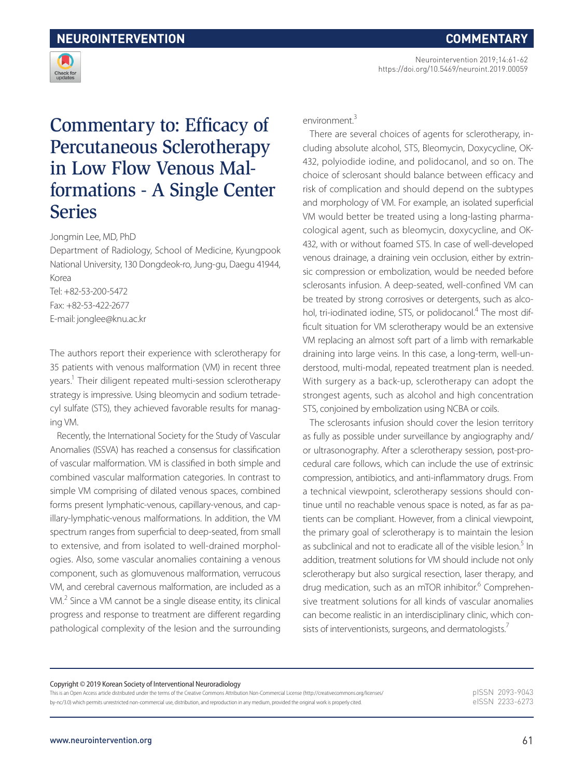Neurointervention 2019;14:61-62 https://doi.org/10.5469/neuroint.2019.00059



## Commentary to: Efficacy of Percutaneous Sclerotherapy in Low Flow Venous Malformations - A Single Center Series

Jongmin Lee, MD, PhD

Department of Radiology, School of Medicine, Kyungpook National University, 130 Dongdeok-ro, Jung-gu, Daegu 41944, Korea

Tel: +82-53-200-5472 Fax: +82-53-422-2677 E-mail: jonglee@knu.ac.kr

The authors report their experience with sclerotherapy for 35 patients with venous malformation (VM) in recent three years.<sup>1</sup> Their diligent repeated multi-session sclerotherapy strategy is impressive. Using bleomycin and sodium tetradecyl sulfate (STS), they achieved favorable results for managing VM.

Recently, the International Society for the Study of Vascular Anomalies (ISSVA) has reached a consensus for classification of vascular malformation. VM is classified in both simple and combined vascular malformation categories. In contrast to simple VM comprising of dilated venous spaces, combined forms present lymphatic-venous, capillary-venous, and capillary-lymphatic-venous malformations. In addition, the VM spectrum ranges from superficial to deep-seated, from small to extensive, and from isolated to well-drained morphologies. Also, some vascular anomalies containing a venous component, such as glomuvenous malformation, verrucous VM, and cerebral cavernous malformation, are included as a VM.<sup>2</sup> Since a VM cannot be a single disease entity, its clinical progress and response to treatment are different regarding pathological complexity of the lesion and the surrounding

environment.<sup>3</sup>

There are several choices of agents for sclerotherapy, including absolute alcohol, STS, Bleomycin, Doxycycline, OK-432, polyiodide iodine, and polidocanol, and so on. The choice of sclerosant should balance between efficacy and risk of complication and should depend on the subtypes and morphology of VM. For example, an isolated superficial VM would better be treated using a long-lasting pharmacological agent, such as bleomycin, doxycycline, and OK-432, with or without foamed STS. In case of well-developed venous drainage, a draining vein occlusion, either by extrinsic compression or embolization, would be needed before sclerosants infusion. A deep-seated, well-confined VM can be treated by strong corrosives or detergents, such as alcohol, tri-iodinated iodine, STS, or polidocanol.<sup>4</sup> The most difficult situation for VM sclerotherapy would be an extensive VM replacing an almost soft part of a limb with remarkable draining into large veins. In this case, a long-term, well-understood, multi-modal, repeated treatment plan is needed. With surgery as a back-up, sclerotherapy can adopt the strongest agents, such as alcohol and high concentration STS, conjoined by embolization using NCBA or coils.

The sclerosants infusion should cover the lesion territory as fully as possible under surveillance by angiography and/ or ultrasonography. After a sclerotherapy session, post-procedural care follows, which can include the use of extrinsic compression, antibiotics, and anti-inflammatory drugs. From a technical viewpoint, sclerotherapy sessions should continue until no reachable venous space is noted, as far as patients can be compliant. However, from a clinical viewpoint, the primary goal of sclerotherapy is to maintain the lesion as subclinical and not to eradicate all of the visible lesion.<sup>5</sup> In addition, treatment solutions for VM should include not only sclerotherapy but also surgical resection, laser therapy, and drug medication, such as an mTOR inhibitor.<sup>6</sup> Comprehensive treatment solutions for all kinds of vascular anomalies can become realistic in an interdisciplinary clinic, which consists of interventionists, surgeons, and dermatologists.<sup>7</sup>

Copyright © 2019 Korean Society of Interventional Neuroradiology

This is an Open Access article distributed under the terms of the Creative Commons Attribution Non-Commercial License (http://creativecommons.org/licenses/ by-nc/3.0) which permits unrestricted non-commercial use, distribution, and reproduction in any medium, provided the original work is properly cited.

pISSN 2093-9043 eISSN 2233-6273